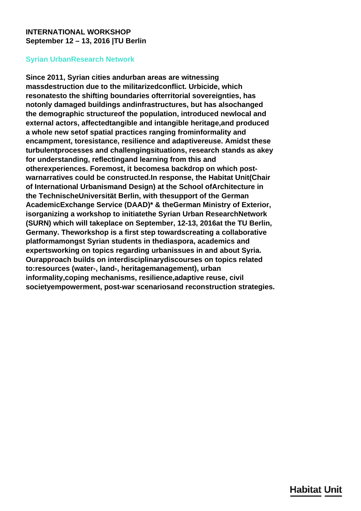# <span id="page-0-0"></span>**INTERNATIONAL WORKSHOP September 12 – 13, 2016 |TU Berlin**

# **Syrian UrbanResearch Network**

**Since 2011, Syrian cities andurban areas are witnessing massdestruction due to the militarizedconflict. Urbicide, which resonatesto the shifting boundaries ofterritorial sovereignties, has notonly damaged buildings andinfrastructures, but has alsochanged the demographic structureof the population, introduced newlocal and external actors, affectedtangible and intangible heritage,and produced a whole new setof spatial practices ranging frominformality and encampment, toresistance, resilience and adaptivereuse. Amidst these turbulentprocesses and challengingsituations, research stands as akey for understanding, reflectingand learning from this and otherexperiences. Foremost, it becomesa backdrop on which postwarnarratives could be constructed.In response, the Habitat Unit(Chair of International Urbanismand Design) at the School ofArchitecture in the TechnischeUniversität Berlin, with thesupport of the German AcademicExchange Service (DAAD)\* & theGerman Ministry of Exterior, isorganizing a workshop to initiatethe Syrian Urban ResearchNetwork (SURN) which will takeplace on September, 12-13, 2016at the TU Berlin, Germany. Theworkshop is a first step towardscreating a collaborative platformamongst Syrian students in thediaspora, academics and expertsworking on topics regarding urbanissues in and about Syria. Ourapproach builds on interdisciplinarydiscourses on topics related to:resources (water-, land-, heritagemanagement), urban informality,coping mechanisms, resilience,adaptive reuse, civil societyempowerment, post-war scenariosand reconstruction strategies.**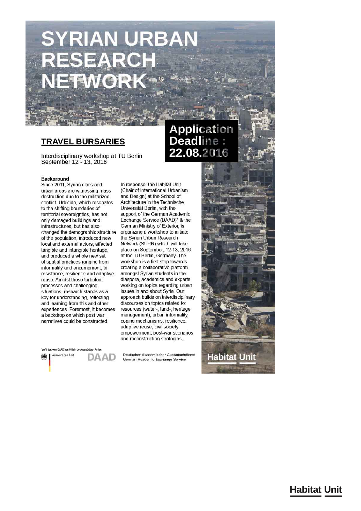# **SYRIAN URBAN** RESEARCH **FTWORK**

# **TRAVEL BURSARIES**

Interdisciplinary workshop at TU Berlin September 12 - 13, 2016

#### Background

Since 2011, Syrian cities and urban areas are witnessing mass destruction due to the militarized conflict. Urbicide, which resonates to the shifting boundaries of territorial sovereignties, has not only damaged buildings and infrastructures, but has also changed the demographic structure of the population, introduced new local and external actors, affected tangible and intangible heritage, and produced a whole new set of spatial practices ranging from informality and encampment, to resistance, resilience and adaptive reuse. Amidst these turbulent processes and challenging situations, research stands as a key for understanding, reflecting and learning from this and other experiences. Foremost, it becomes a backdrop on which post-war narratives could be constructed.

In response, the Habitat Unit (Chair of International Urbanism and Design) at the School of Architecture in the Technische Universität Berlin, with the support of the German Academic Exchange Service (DAAD)\* & the German Ministry of Exterior, is organizing a workshop to initiate the Syrian Urban Research Network (SURN) which will take place on September, 12-13, 2016 at the TU Berlin, Germany. The workshop is a first step towards creating a collaborative platform amongst Syrian students in the diaspora, academics and experts working on topics regarding urban issues in and about Syria. Our approach builds on interdisciplinary discourses on topics related to: resources (water-, land-, heritage management), urban informality, coping mechanisms, resilience, adaptive reuse, civil society empowerment, post-war scenarios and reconstruction strategies.

om DAAD aus Mittein Auswärtiges Amt DAAD

Deutscher Akademischer Austauschdienst German Academic Exchange Service

# Application **Deadline** 22.08.2016

**Habitat Unit** 

**Habitat Unit**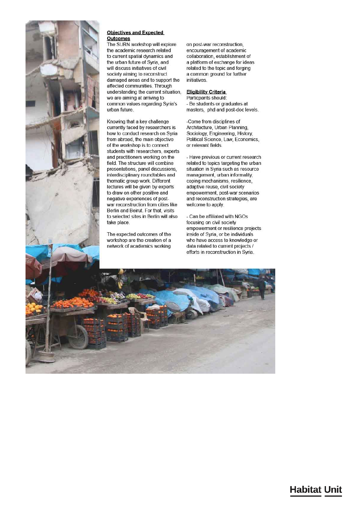

#### **Objectives and Expected** Outcomes

The SURN workshop will explore the academic research related to current spatial dynamics and the urban future of Syria, and will discuss initiatives of civil society aiming to reconstruct damaged areas and to support the affected communities. Through understanding the current situation, we are aiming at arriving to common values regarding Syria's urban future.

Knowing that a key challenge currently faced by researchers is how to conduct research on Syria from abroad, the main objective of the workshop is to connect students with researchers, experts and practitioners working on the field. The structure will combine presentations, panel discussions, interdisciplinary roundtables and thematic group work. Different lectures will be given by experts to draw on other positive and negative experiences of postwar reconstruction from cities like Berlin and Beirut. For that, visits to selected sites in Berlin will also take place.

The expected outcomes of the workshop are the creation of a network of academics working

on post-war reconstruction. encouragement of academic collaboration, establishment of a platform of exchange for ideas related to the topic and forging a common ground for further initiatives.

#### **Eligibility Criteria**

Particpants should: - Be students or graduates at masters, phd and post-doc levels.

-Come from disciplines of Architecture, Urban Planning, Sociology, Engineering, History, Political Science, Law, Economics, or relevant fields.

- Have previous or current research related to topics targeting the urban situation in Syria such as resource management, urban informality, coping mechanisms, resilience, adaptive reuse, civil society empowerment, post-war scenarios and reconstruction strategies, are welcome to apply.

- Can be affiliated with NGOs focusing on civil society empowerment or resilience projects inside of Syria, or be individuals who have access to knowledge or data related to current projects / efforts in reconstruction in Syria.

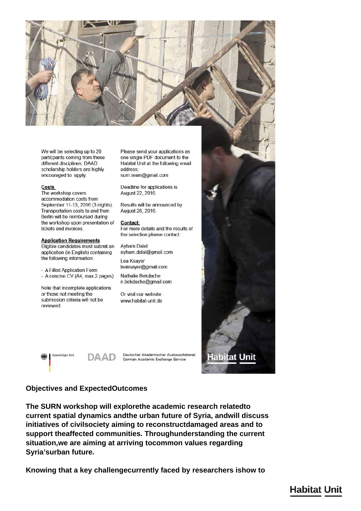

We will be selecting up to 20 particpants coming from these different disciplines. DAAD scholarship holders are highly encouraged to apply.

#### **Costs**

The workshop covers accommodation costs from September 11-13, 2016 (3 nights). Transportation costs to and from Berlin will be reimbursed during the workshop upon presentation of tickets and invoices.

#### **Application Requirements**

Eligible candidates must submit an application (in English) containing the following information:

- A Filled Application Form - A concise CV (A4, max.2 pages)

Note that incomplete applications or those not meeting the submission criteria will not be reviewed

Please send your applications as one single PDF document to the Habitat Unit at the following email address: surn.team@gmail.com

Deadline for applications is August 22, 2016.

Results will be announced by August 26, 2016.

Contact: For more details and the results of the selection please contact:

**Ayham Dalal** ayham.dalal@gmail.com

Lea Ksayer leaksayer@gmail.com

Nathalie Bekdache n.bekdache@gmail.com

Or visit our website: www.habitat-unit.de

Auswärtiges Amt DAAD

Deutscher Akademischer Austauschdienst German Academic Exchange Service

### **Objectives and ExpectedOutcomes**

The SURN workshop will explorethe academic research relatedto current spatial dynamics and the urban future of Syria, and will discuss initiatives of civilsociety aiming to reconstructdamaged areas and to support theaffected communities. Throughunderstanding the current situation, we are aiming at arriving tocommon values regarding Syria'surban future.

Knowing that a key challengecurrently faced by researchers ishow to

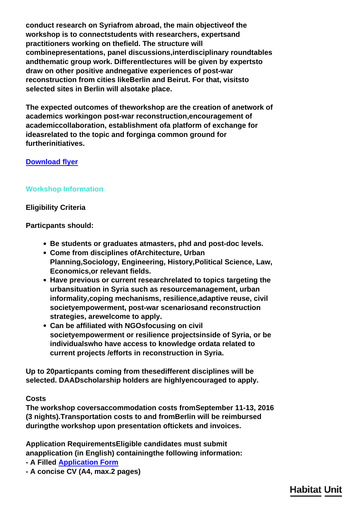**conduct research on Syriafrom abroad, the main objectiveof the workshop is to connectstudents with researchers, expertsand practitioners working on thefield. The structure will combinepresentations, panel discussions,interdisciplinary roundtables andthematic group work. Differentlectures will be given by expertsto draw on other positive andnegative experiences of post-war reconstruction from cities likeBerlin and Beirut. For that, visitsto selected sites in Berlin will alsotake place.**

**The expected outcomes of theworkshop are the creation of anetwork of academics workingon post-war reconstruction,encouragement of academiccollaboration, establishment ofa platform of exchange for ideasrelated to the topic and forginga common ground for furtherinitiatives.**

# **[Download flyer](#page-0-0)**

# **Workshop Information**

# **Eligibility Criteria**

**Particpants should:**

- **Be students or graduates atmasters, phd and post-doc levels.**
- **Come from disciplines ofArchitecture, Urban Planning,Sociology, Engineering, History,Political Science, Law, Economics,or relevant fields.**
- **Have previous or current researchrelated to topics targeting the urbansituation in Syria such as resourcemanagement, urban informality,coping mechanisms, resilience,adaptive reuse, civil societyempowerment, post-war scenariosand reconstruction strategies, arewelcome to apply.**
- **Can be affiliated with NGOsfocusing on civil societyempowerment or resilience projectsinside of Syria, or be individualswho have access to knowledge ordata related to current projects /efforts in reconstruction in Syria.**

**Up to 20particpants coming from thesedifferent disciplines will be selected. DAADscholarship holders are highlyencouraged to apply.**

# **Costs**

**The workshop coversaccommodation costs fromSeptember 11-13, 2016 (3 nights).Transportation costs to and fromBerlin will be reimbursed duringthe workshop upon presentation oftickets and invoices.**

**Application RequirementsEligible candidates must submit anapplication (in English) containingthe following information:**

- **A Filled [Application Form](#page-0-0)**
- **A concise CV (A4, max.2 pages)**